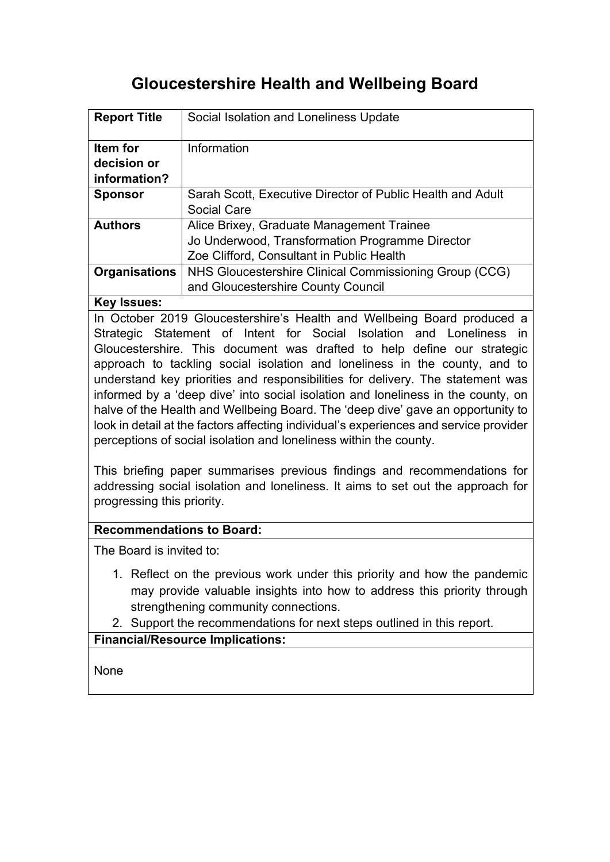# **Gloucestershire Health and Wellbeing Board**

| <b>Report Title</b>                     | Social Isolation and Loneliness Update                                                                                                    |
|-----------------------------------------|-------------------------------------------------------------------------------------------------------------------------------------------|
| Item for<br>decision or<br>information? | Information                                                                                                                               |
| <b>Sponsor</b>                          | Sarah Scott, Executive Director of Public Health and Adult<br>Social Care                                                                 |
| <b>Authors</b>                          | Alice Brixey, Graduate Management Trainee<br>Jo Underwood, Transformation Programme Director<br>Zoe Clifford, Consultant in Public Health |
| <b>Organisations</b>                    | NHS Gloucestershire Clinical Commissioning Group (CCG)<br>and Gloucestershire County Council                                              |

## **Key Issues:**

In October 2019 Gloucestershire's Health and Wellbeing Board produced a Strategic Statement of Intent for Social Isolation and Loneliness in Gloucestershire. This document was drafted to help define our strategic approach to tackling social isolation and loneliness in the county, and to understand key priorities and responsibilities for delivery. The statement was informed by a 'deep dive' into social isolation and loneliness in the county, on halve of the Health and Wellbeing Board. The 'deep dive' gave an opportunity to look in detail at the factors affecting individual's experiences and service provider perceptions of social isolation and loneliness within the county.

This briefing paper summarises previous findings and recommendations for addressing social isolation and loneliness. It aims to set out the approach for progressing this priority.

## **Recommendations to Board:**

The Board is invited to:

- 1. Reflect on the previous work under this priority and how the pandemic may provide valuable insights into how to address this priority through strengthening community connections.
- 2. Support the recommendations for next steps outlined in this report.

## **Financial/Resource Implications:**

None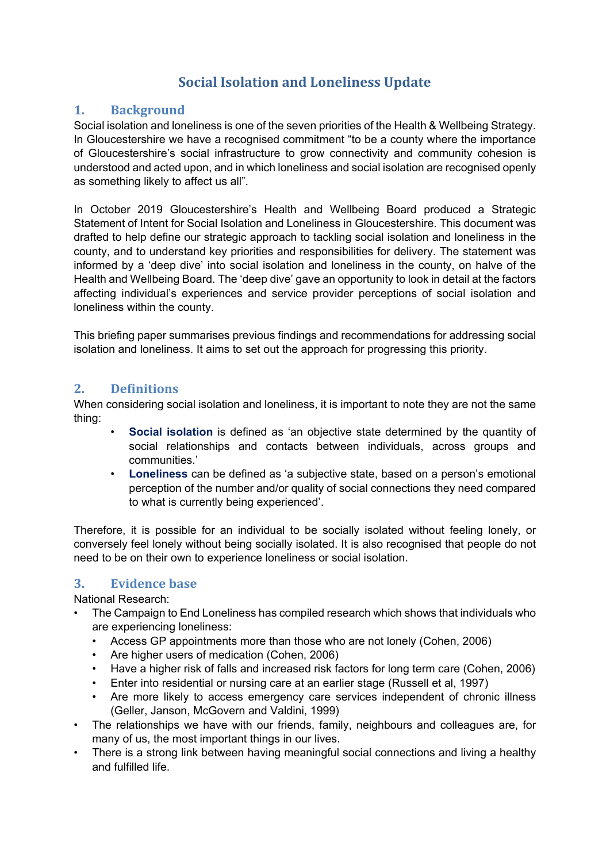## **Social Isolation and Loneliness Update**

## **1. Background**

Social isolation and loneliness is one of the seven priorities of the Health & Wellbeing Strategy. In Gloucestershire we have a recognised commitment "to be a county where the importance of Gloucestershire's social infrastructure to grow connectivity and community cohesion is understood and acted upon, and in which loneliness and social isolation are recognised openly as something likely to affect us all".

In October 2019 Gloucestershire's Health and Wellbeing Board produced a Strategic Statement of Intent for Social Isolation and Loneliness in Gloucestershire. This document was drafted to help define our strategic approach to tackling social isolation and loneliness in the county, and to understand key priorities and responsibilities for delivery. The statement was informed by a 'deep dive' into social isolation and loneliness in the county, on halve of the Health and Wellbeing Board. The 'deep dive' gave an opportunity to look in detail at the factors affecting individual's experiences and service provider perceptions of social isolation and loneliness within the county.

This briefing paper summarises previous findings and recommendations for addressing social isolation and loneliness. It aims to set out the approach for progressing this priority.

## **2. Definitions**

When considering social isolation and loneliness, it is important to note they are not the same thing:

- **Social isolation** is defined as 'an objective state determined by the quantity of social relationships and contacts between individuals, across groups and communities.'
- **Loneliness** can be defined as 'a subjective state, based on a person's emotional perception of the number and/or quality of social connections they need compared to what is currently being experienced'.

Therefore, it is possible for an individual to be socially isolated without feeling lonely, or conversely feel lonely without being socially isolated. It is also recognised that people do not need to be on their own to experience loneliness or social isolation.

## **3. Evidence base**

National Research:

- The Campaign to End Loneliness has compiled research which shows that individuals who are experiencing loneliness:
	- Access GP appointments more than those who are not lonely (Cohen, 2006)
	- Are higher users of medication (Cohen, 2006)
	- Have a higher risk of falls and increased risk factors for long term care (Cohen, 2006)
	- Enter into residential or nursing care at an earlier stage (Russell et al, 1997)
	- Are more likely to access emergency care services independent of chronic illness (Geller, Janson, McGovern and Valdini, 1999)
- The relationships we have with our friends, family, neighbours and colleagues are, for many of us, the most important things in our lives.
- There is a strong link between having meaningful social connections and living a healthy and fulfilled life.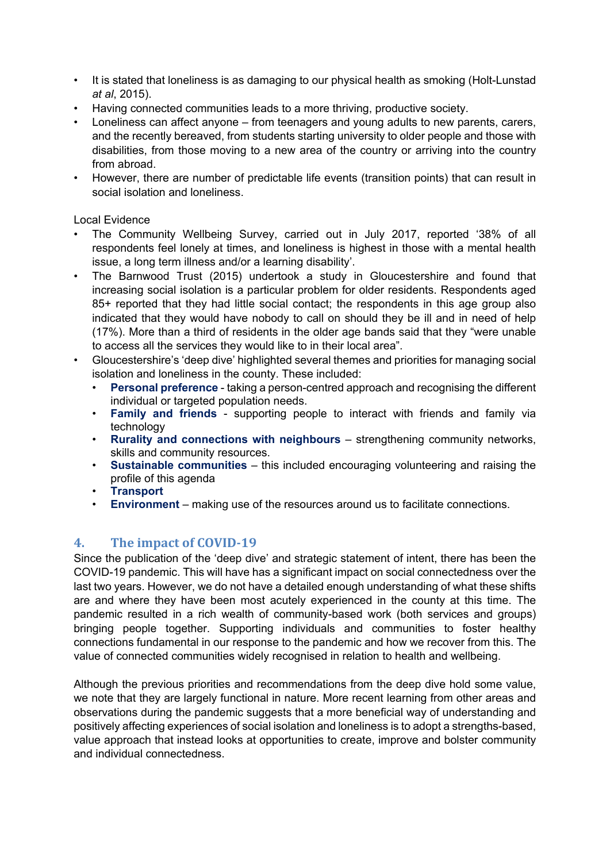- It is stated that loneliness is as damaging to our physical health as smoking (Holt-Lunstad *at al*, 2015).
- Having connected communities leads to a more thriving, productive society.
- Loneliness can affect anyone from teenagers and young adults to new parents, carers, and the recently bereaved, from students starting university to older people and those with disabilities, from those moving to a new area of the country or arriving into the country from abroad.
- However, there are number of predictable life events (transition points) that can result in social isolation and loneliness.

#### Local Evidence

- The Community Wellbeing Survey, carried out in July 2017, reported '38% of all respondents feel lonely at times, and loneliness is highest in those with a mental health issue, a long term illness and/or a learning disability'.
- The Barnwood Trust (2015) undertook a study in Gloucestershire and found that increasing social isolation is a particular problem for older residents. Respondents aged 85+ reported that they had little social contact; the respondents in this age group also indicated that they would have nobody to call on should they be ill and in need of help (17%). More than a third of residents in the older age bands said that they "were unable to access all the services they would like to in their local area".
- Gloucestershire's 'deep dive' highlighted several themes and priorities for managing social isolation and loneliness in the county. These included:
	- **Personal preference** taking a person-centred approach and recognising the different individual or targeted population needs.
	- **Family and friends** supporting people to interact with friends and family via technology
	- **Rurality and connections with neighbours** strengthening community networks, skills and community resources.
	- **Sustainable communities** this included encouraging volunteering and raising the profile of this agenda
	- **Transport**
	- **Environment** making use of the resources around us to facilitate connections.

## **4. The impact of COVID-19**

Since the publication of the 'deep dive' and strategic statement of intent, there has been the COVID-19 pandemic. This will have has a significant impact on social connectedness over the last two years. However, we do not have a detailed enough understanding of what these shifts are and where they have been most acutely experienced in the county at this time. The pandemic resulted in a rich wealth of community-based work (both services and groups) bringing people together. Supporting individuals and communities to foster healthy connections fundamental in our response to the pandemic and how we recover from this. The value of connected communities widely recognised in relation to health and wellbeing.

Although the previous priorities and recommendations from the deep dive hold some value, we note that they are largely functional in nature. More recent learning from other areas and observations during the pandemic suggests that a more beneficial way of understanding and positively affecting experiences of social isolation and loneliness is to adopt a strengths-based, value approach that instead looks at opportunities to create, improve and bolster community and individual connectedness.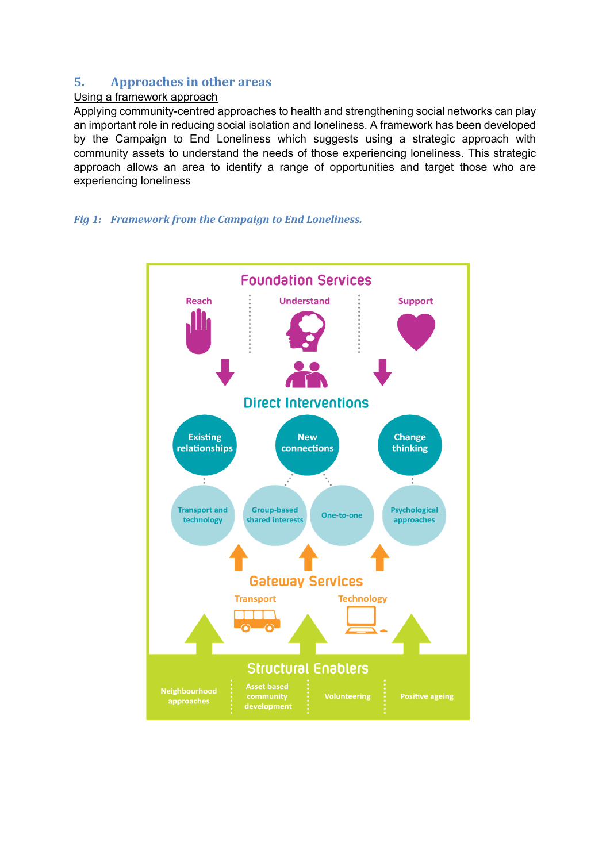## **5. Approaches in other areas**

#### Using a framework approach

Applying community-centred approaches to health and strengthening social networks can play an important role in reducing social isolation and loneliness. A framework has been developed by the Campaign to End Loneliness which suggests using a strategic approach with community assets to understand the needs of those experiencing loneliness. This strategic approach allows an area to identify a range of opportunities and target those who are experiencing loneliness

#### *Fig 1: Framework from the Campaign to End Loneliness.*

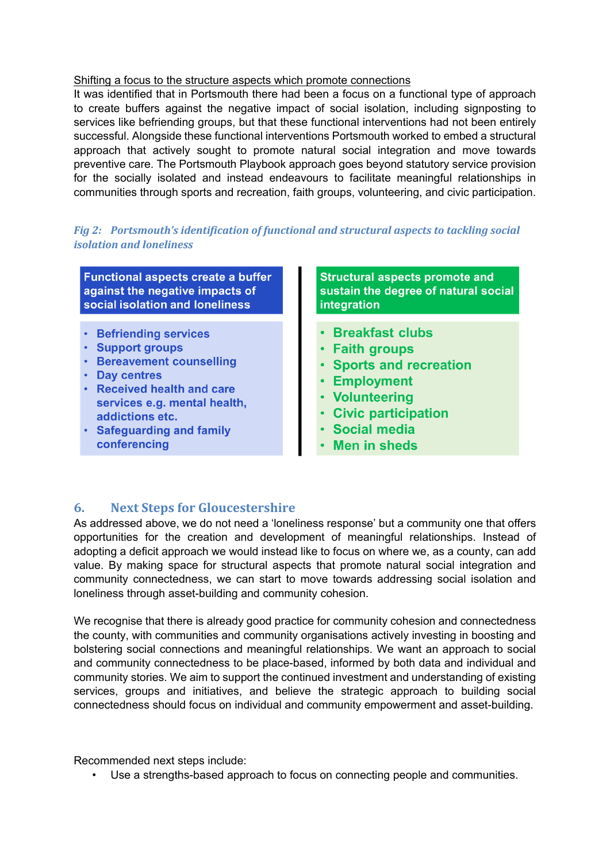#### Shifting a focus to the structure aspects which promote connections

It was identified that in Portsmouth there had been a focus on a functional type of approach to create buffers against the negative impact of social isolation, including signposting to services like befriending groups, but that these functional interventions had not been entirely successful. Alongside these functional interventions Portsmouth worked to embed a structural approach that actively sought to promote natural social integration and move towards preventive care. The Portsmouth Playbook approach goes beyond statutory service provision for the socially isolated and instead endeavours to facilitate meaningful relationships in communities through sports and recreation, faith groups, volunteering, and civic participation.

#### *Fig 2: Portsmouth's identification of functional and structural aspects to tackling social isolation and loneliness*

**Functional aspects create a buffer** against the negative impacts of social isolation and loneliness

- · Befriending services
- Support groups
- Bereavement counselling
- Day centres
- Received health and care services e.g. mental health, addictions etc.
- Safeguarding and family conferencing

**Structural aspects promote and** sustain the degree of natural social integration

- · Breakfast clubs
- · Faith groups
- Sports and recreation
- Employment
- Volunteering
- Civic participation
- **Social media**
- Men in sheds

## **6. Next Steps for Gloucestershire**

As addressed above, we do not need a 'loneliness response' but a community one that offers opportunities for the creation and development of meaningful relationships. Instead of adopting a deficit approach we would instead like to focus on where we, as a county, can add value. By making space for structural aspects that promote natural social integration and community connectedness, we can start to move towards addressing social isolation and loneliness through asset-building and community cohesion.

We recognise that there is already good practice for community cohesion and connectedness the county, with communities and community organisations actively investing in boosting and bolstering social connections and meaningful relationships. We want an approach to social and community connectedness to be place-based, informed by both data and individual and community stories. We aim to support the continued investment and understanding of existing services, groups and initiatives, and believe the strategic approach to building social connectedness should focus on individual and community empowerment and asset-building.

Recommended next steps include:

• Use a strengths-based approach to focus on connecting people and communities.